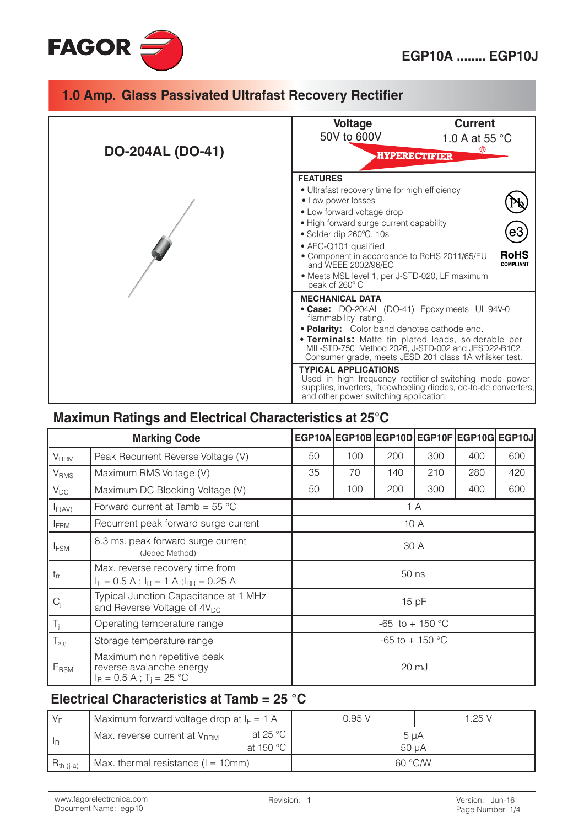



### Maximun Ratings and Electrical Characteristics at 25°C

| <b>Marking Code</b>     |                                                                                                   |                           | EGP10A EGP10B EGP10D EGP10F EGP10G EGP10J |       |     |     |     |
|-------------------------|---------------------------------------------------------------------------------------------------|---------------------------|-------------------------------------------|-------|-----|-----|-----|
| <b>V</b> <sub>RRM</sub> | Peak Recurrent Reverse Voltage (V)                                                                | 50                        | 100                                       | 200   | 300 | 400 | 600 |
| <b>V</b> <sub>RMS</sub> | Maximum RMS Voltage (V)                                                                           | 35                        | 70                                        | 140   | 210 | 280 | 420 |
| $V_{DC}$                | Maximum DC Blocking Voltage (V)                                                                   | 50                        | 100                                       | 200   | 300 | 400 | 600 |
| $I_{F(AV)}$             | Forward current at Tamb = $55^{\circ}$ C                                                          |                           |                                           |       | 1 A |     |     |
| <b>IFRM</b>             | Recurrent peak forward surge current                                                              | 10 A                      |                                           |       |     |     |     |
| <b>IFSM</b>             | 8.3 ms. peak forward surge current<br>(Jedec Method)                                              |                           |                                           | 30 A  |     |     |     |
| $t_{rr}$                | Max. reverse recovery time from<br>$I_F = 0.5 A$ ; $I_R = 1 A$ ; $I_{RR} = 0.25 A$                |                           |                                           | 50 ns |     |     |     |
| $C_i$                   | Typical Junction Capacitance at 1 MHz<br>and Reverse Voltage of 4V <sub>DC</sub>                  | 15pF                      |                                           |       |     |     |     |
| $T_i$                   | Operating temperature range                                                                       | -65 to + 150 $^{\circ}$ C |                                           |       |     |     |     |
| $T_{\text{stg}}$        | Storage temperature range                                                                         | $-65$ to $+150$ °C        |                                           |       |     |     |     |
| ERSM                    | Maximum non repetitive peak<br>reverse avalanche energy<br>$I_R = 0.5 A$ ; T <sub>i</sub> = 25 °C |                           |                                           | 20 mJ |     |     |     |

### Electrical Characteristics at Tamb =  $25 °C$

| $V_F$            | Maximum forward voltage drop at $I_F = 1$ A                                 |  | 0.95 V             | 1.25 V |  |
|------------------|-----------------------------------------------------------------------------|--|--------------------|--------|--|
| ' I <sub>R</sub> | at 25 $^{\circ}$ C<br>Max. reverse current at V <sub>RRM</sub><br>at 150 °C |  | $5 \mu A$<br>50 uA |        |  |
| $R_{th (j-a)}$   | Max. thermal resistance $(I = 10$ mm)                                       |  | 60 °C/W            |        |  |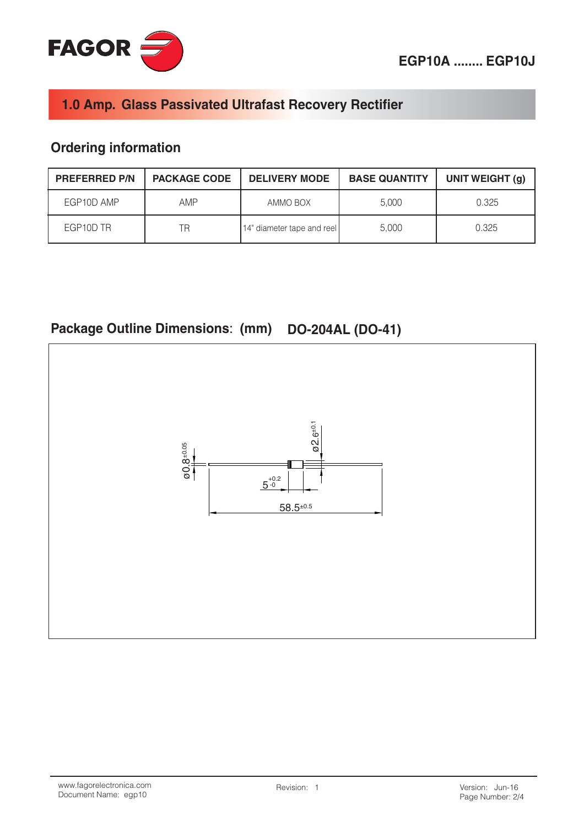

## **Ordering information**

| <b>PREFERRED P/N</b> | <b>PACKAGE CODE</b> | <b>DELIVERY MODE</b>       | <b>BASE QUANTITY</b> | UNIT WEIGHT (g) |
|----------------------|---------------------|----------------------------|----------------------|-----------------|
| EGP10D AMP           | AMP                 | AMMO BOX                   | 5.000                | 0.325           |
| EGP10D TR            | ΤR                  | 14" diameter tape and reel | 5.000                | 0.325           |

# Package Outline Dimensions: (mm) DO-204AL (DO-41)

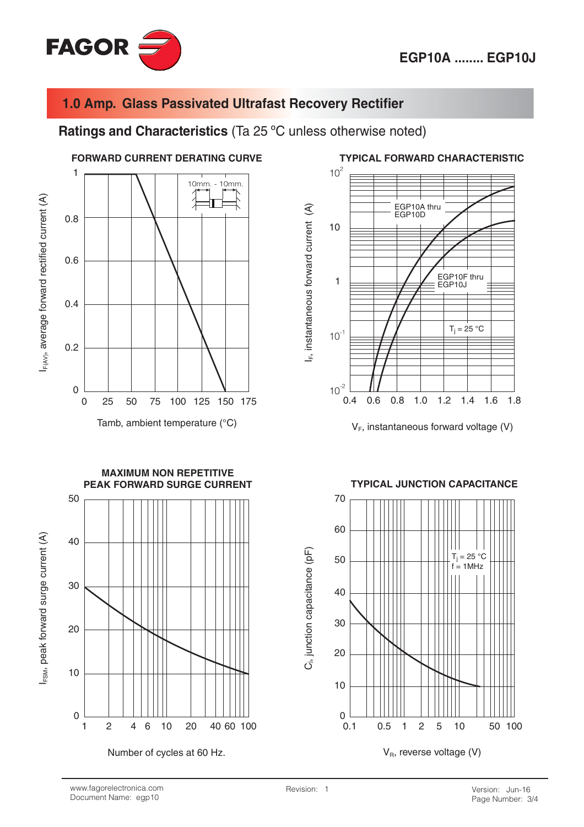![](_page_2_Picture_1.jpeg)

Ratings and Characteristics (Ta 25 °C unless otherwise noted)

![](_page_2_Figure_4.jpeg)